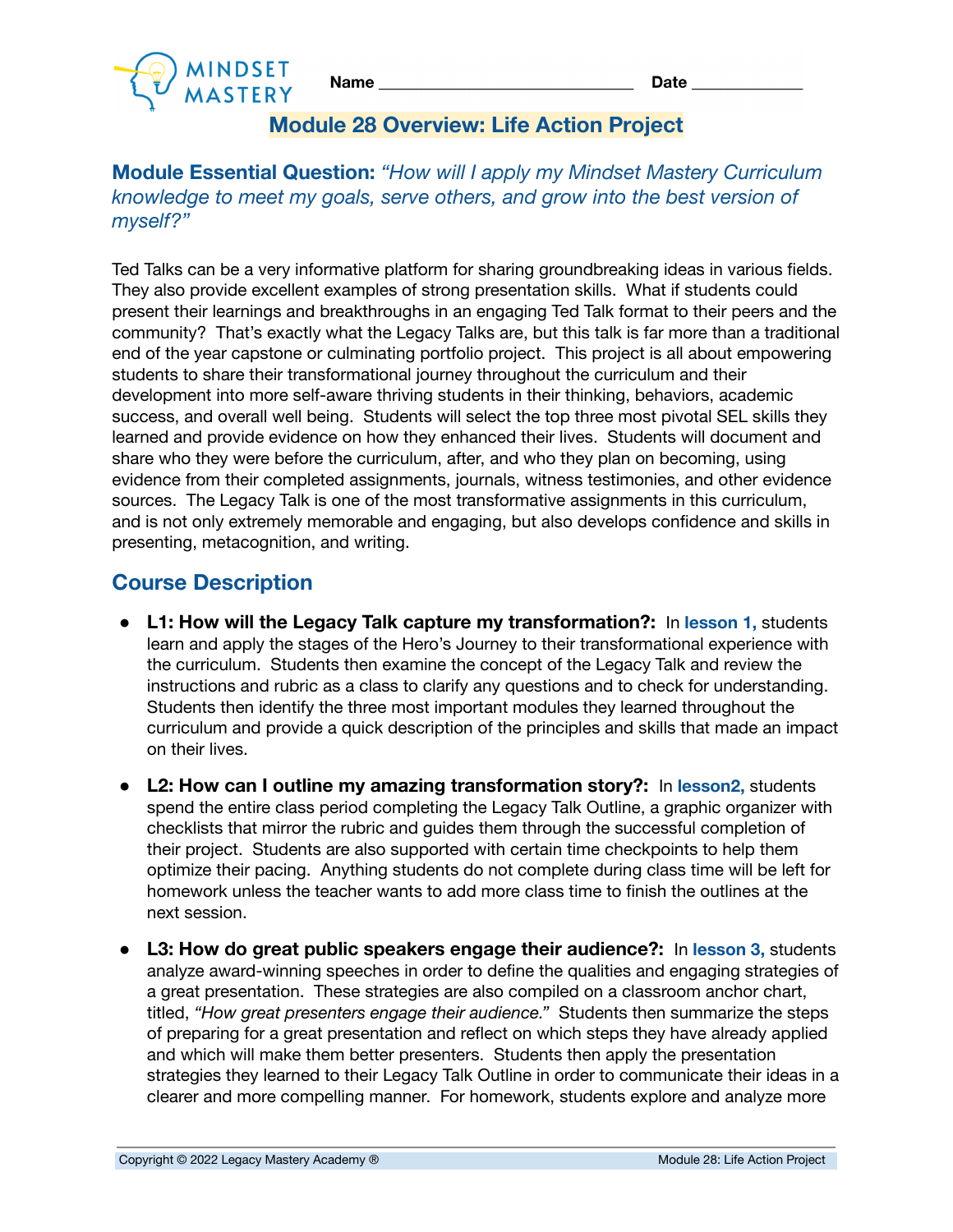

## **Module 28 Overview: Life Action Project**

## **Module Essential Question:** *"How will I apply my Mindset Mastery Curriculum knowledge to meet my goals, serve others, and grow into the best version of myself?"*

Ted Talks can be a very informative platform for sharing groundbreaking ideas in various fields. They also provide excellent examples of strong presentation skills. What if students could present their learnings and breakthroughs in an engaging Ted Talk format to their peers and the community? That's exactly what the Legacy Talks are, but this talk is far more than a traditional end of the year capstone or culminating portfolio project. This project is all about empowering students to share their transformational journey throughout the curriculum and their development into more self-aware thriving students in their thinking, behaviors, academic success, and overall well being. Students will select the top three most pivotal SEL skills they learned and provide evidence on how they enhanced their lives. Students will document and share who they were before the curriculum, after, and who they plan on becoming, using evidence from their completed assignments, journals, witness testimonies, and other evidence sources. The Legacy Talk is one of the most transformative assignments in this curriculum, and is not only extremely memorable and engaging, but also develops confidence and skills in presenting, metacognition, and writing.

## **Course Description**

- **● L1: How will the Legacy Talk capture my transformation?:** In **lesson 1,** students learn and apply the stages of the Hero's Journey to their transformational experience with the curriculum. Students then examine the concept of the Legacy Talk and review the instructions and rubric as a class to clarify any questions and to check for understanding. Students then identify the three most important modules they learned throughout the curriculum and provide a quick description of the principles and skills that made an impact on their lives.
- **● L2: How can I outline my amazing transformation story?:** In **lesson2,** students spend the entire class period completing the Legacy Talk Outline, a graphic organizer with checklists that mirror the rubric and guides them through the successful completion of their project. Students are also supported with certain time checkpoints to help them optimize their pacing. Anything students do not complete during class time will be left for homework unless the teacher wants to add more class time to finish the outlines at the next session.
- **● L3: How do great public speakers engage their audience?:** In **lesson 3,** students analyze award-winning speeches in order to define the qualities and engaging strategies of a great presentation. These strategies are also compiled on a classroom anchor chart, titled, *"How great presenters engage their audience."* Students then summarize the steps of preparing for a great presentation and reflect on which steps they have already applied and which will make them better presenters. Students then apply the presentation strategies they learned to their Legacy Talk Outline in order to communicate their ideas in a clearer and more compelling manner. For homework, students explore and analyze more